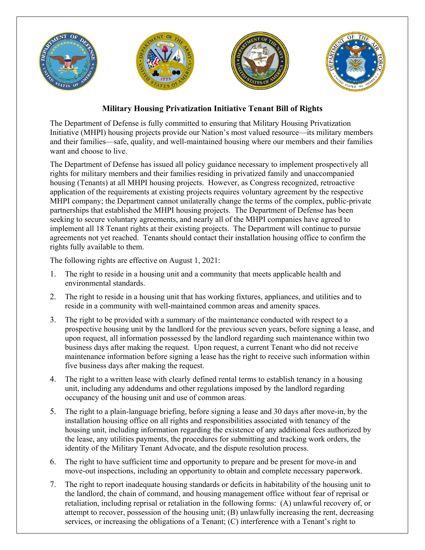

## **Military Housing Privatization Initiative Tenant Bill of Rights**

The Department of Defense is fully committed to ensuring that Military Housing Privatization Initiative (MHPI) housing projects provide our Nation's most valued resource—its military members and their families—safe, quality, and well-maintained housing where our members and their families want and choose to live.

The Department of Defense has issued all policy guidance necessary to implement prospectively all rights for military members and their families residing in privatized family and unaccompanied housing (Tenants) at all MHPI housing projects. However, as Congress recognized, retroactive application of the requirements at existing projects requires voluntary agreement by the respective MHPI company; the Department cannot unilaterally change the terms of the complex, public-private partnerships that established the MHPI housing projects. The Department of Defense has been seeking to secure voluntary agreements, and nearly all of the MHPI companies have agreed to implement all 18 Tenant rights at their existing projects. The Department will continue to pursue agreements not yet reached. Tenants should contact their installation housing office to confirm the rights fully available to them.

The following rights are effective on August 1, 2021:

- 1. The right to reside in a housing unit and a community that meets applicable health and environmental standards.
- 2. The right to reside in a housing unit that has working fixtures, appliances, and utilities and to reside in a community with well-maintained common areas and amenity spaces.
- 3. The right to be provided with a summary of the maintenance conducted with respect to a prospective housing unit by the landlord for the previous seven years, before signing a lease, and upon request, all information possessed by the landlord regarding such maintenance within two business days after making the request. Upon request, a current Tenant who did not receive maintenance information before signing a lease has the right to receive such information within five business days after making the request.
- 4. The right to a written lease with clearly defined rental terms to establish tenancy in a housing unit, including any addendums and other regulations imposed by the landlord regarding occupancy of the housing unit and use of common areas.
- 5. The right to a plain-language briefing, before signing a lease and 30 days after move-in, by the installation housing office on all rights and responsibilities associated with tenancy of the housing unit, including information regarding the existence of any additional fees authorized by the lease, any utilities payments, the procedures for submitting and tracking work orders, the identity of the Military Tenant Advocate, and the dispute resolution process.
- 6. The right to have sufficient time and opportunity to prepare and be present for move-in and move-out inspections, including an opportunity to obtain and complete necessary paperwork.
- 7. The right to report inadequate housing standards or deficits in habitability of the housing unit to the landlord, the chain of command, and housing management office without fear of reprisal or retaliation, including reprisal or retaliation in the following forms: (A) unlawful recovery of, or attempt to recover, possession of the housing unit; (B) unlawfully increasing the rent, decreasing services, or increasing the obligations of a Tenant; (C) interference with a Tenant's right to